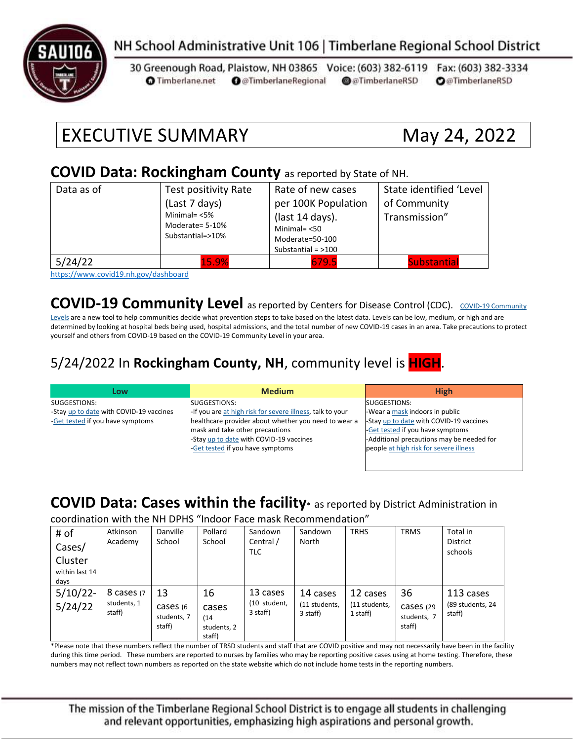

### NH School Administrative Unit 106 | Timberlane Regional School District

30 Greenough Road, Plaistow, NH 03865 Voice: (603) 382-6119 Fax: (603) 382-3334 **O** Timberlane.net **O** @TimberlaneRegional @@TimberlaneRSD **O**@TimberlaneRSD

# EXECUTIVE SUMMARY May 24, 2022

#### **COVID Data: Rockingham County** as reported by State of NH.

| Data as of                   | Test positivity Rate<br>(Last 7 days)<br>Minimal= $<$ 5%<br>Moderate= 5-10%<br>Substantial=>10% | Rate of new cases<br>per 100K Population<br>(last 14 days).<br>Minimal $=$ <50<br>Moderate=50-100<br>Substantial = $>100$ | State identified 'Level<br>of Community<br>Transmission" |
|------------------------------|-------------------------------------------------------------------------------------------------|---------------------------------------------------------------------------------------------------------------------------|----------------------------------------------------------|
| 5/24/22<br>$\cdots$ $\cdots$ | 15.9%<br>.                                                                                      | 679.5                                                                                                                     | <b>Substantial</b>                                       |

<https://www.covid19.nh.gov/dashboard>

**[COVID-19 Community](https://www.cdc.gov/coronavirus/2019-ncov/science/community-levels.html) Level** as reported by Centers for Disease Control (CDC). COVID-19 Community

[Levels](https://www.cdc.gov/coronavirus/2019-ncov/science/community-levels.html) are a new tool to help communities decide what prevention steps to take based on the latest data. Levels can be low, medium, or high and are determined by looking at hospital beds being used, hospital admissions, and the total number of new COVID-19 cases in an area. Take precautions to protect yourself and others from COVID-19 based on the COVID-19 Community Level in your area.

#### 5/24/2022 In **Rockingham County, NH**, community level is **HIGH**.

| Low                                     | <b>Medium</b>                                             | <b>High</b>                               |
|-----------------------------------------|-----------------------------------------------------------|-------------------------------------------|
| SUGGESTIONS:                            | SUGGESTIONS:                                              | SUGGESTIONS:                              |
| -Stay up to date with COVID-19 vaccines | -If you are at high risk for severe illness, talk to your | -Wear a mask indoors in public            |
| -Get tested if you have symptoms        | healthcare provider about whether you need to wear a      | -Stay up to date with COVID-19 vaccines   |
|                                         | mask and take other precautions                           | -Get tested if you have symptoms          |
|                                         | -Stay up to date with COVID-19 vaccines                   | -Additional precautions may be needed for |
|                                         | -Get tested if you have symptoms                          | people at high risk for severe illness    |
|                                         |                                                           |                                           |

#### **COVID Data: Cases within the facility\*** as reported by District Administration in

coordination with the NH DPHS "Indoor Face mask Recommendation"

| # of<br>Cases/<br>Cluster<br>within last 14<br>days | Atkinson<br>Academy                 | Danville<br>School                       | Pollard<br>School                            | Sandown<br>Central /<br>TLC          | Sandown<br>North                      | <b>TRHS</b>                           | <b>TRMS</b>                              | Total in<br><b>District</b><br>schools  |
|-----------------------------------------------------|-------------------------------------|------------------------------------------|----------------------------------------------|--------------------------------------|---------------------------------------|---------------------------------------|------------------------------------------|-----------------------------------------|
| $5/10/22$ -<br>5/24/22                              | 8 cases (7<br>students, 1<br>staff) | 13<br>cases (6)<br>students, 7<br>staff) | 16<br>cases<br>(14)<br>students, 2<br>staff) | 13 cases<br>(10 student,<br>3 staff) | 14 cases<br>(11 students,<br>3 staff) | 12 cases<br>(11 students,<br>1 staff) | 36<br>Cases (29<br>students, 7<br>staff) | 113 cases<br>(89 students, 24<br>staff) |

\*Please note that these numbers reflect the number of TRSD students and staff that are COVID positive and may not necessarily have been in the facility during this time period. These numbers are reported to nurses by families who may be reporting positive cases using at home testing. Therefore, these numbers may not reflect town numbers as reported on the state website which do not include home tests in the reporting numbers.

The mission of the Timberlane Regional School District is to engage all students in challenging and relevant opportunities, emphasizing high aspirations and personal growth.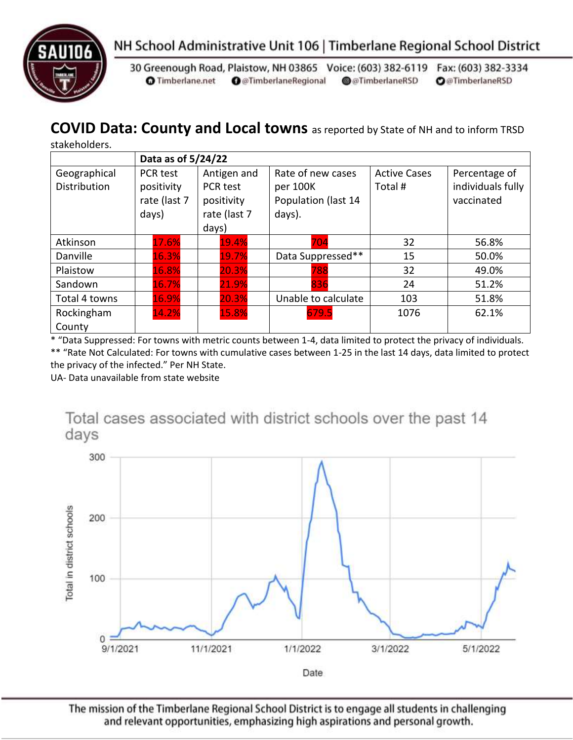



30 Greenough Road, Plaistow, NH 03865 Voice: (603) 382-6119 Fax: (603) 382-3334 **O** Timberlane.net **O** @TimberlaneRegional @@TimberlaneRSD **O**@TimberlaneRSD

# **COVID Data: County and Local towns** as reported by State of NH and to inform TRSD

stakeholders.

|                                     | Data as of 5/24/22                              |                                                                |                                                                |                               |                                                  |  |
|-------------------------------------|-------------------------------------------------|----------------------------------------------------------------|----------------------------------------------------------------|-------------------------------|--------------------------------------------------|--|
| Geographical<br><b>Distribution</b> | PCR test<br>positivity<br>rate (last 7<br>days) | Antigen and<br>PCR test<br>positivity<br>rate (last 7<br>days) | Rate of new cases<br>per 100K<br>Population (last 14<br>days). | <b>Active Cases</b><br>Total# | Percentage of<br>individuals fully<br>vaccinated |  |
| Atkinson                            | 17.6%                                           | 19.4%                                                          | 704                                                            | 32                            | 56.8%                                            |  |
| Danville                            | 16.3%                                           | 19.7%                                                          | Data Suppressed**                                              | 15                            | 50.0%                                            |  |
| Plaistow                            | 16.8%                                           | 20.3%                                                          | 788                                                            | 32                            | 49.0%                                            |  |
| Sandown                             | 16.7%                                           | 21.9%                                                          | 836                                                            | 24                            | 51.2%                                            |  |
| Total 4 towns                       | 16.9%                                           | 20.3%                                                          | Unable to calculate                                            | 103                           | 51.8%                                            |  |
| Rockingham<br>County                | 14.2%                                           | 15.8%                                                          | 679.5                                                          | 1076                          | 62.1%                                            |  |

\* "Data Suppressed: For towns with metric counts between 1-4, data limited to protect the privacy of individuals. \*\* "Rate Not Calculated: For towns with cumulative cases between 1-25 in the last 14 days, data limited to protect the privacy of the infected." Per NH State.

UA- Data unavailable from state website



The mission of the Timberlane Regional School District is to engage all students in challenging and relevant opportunities, emphasizing high aspirations and personal growth.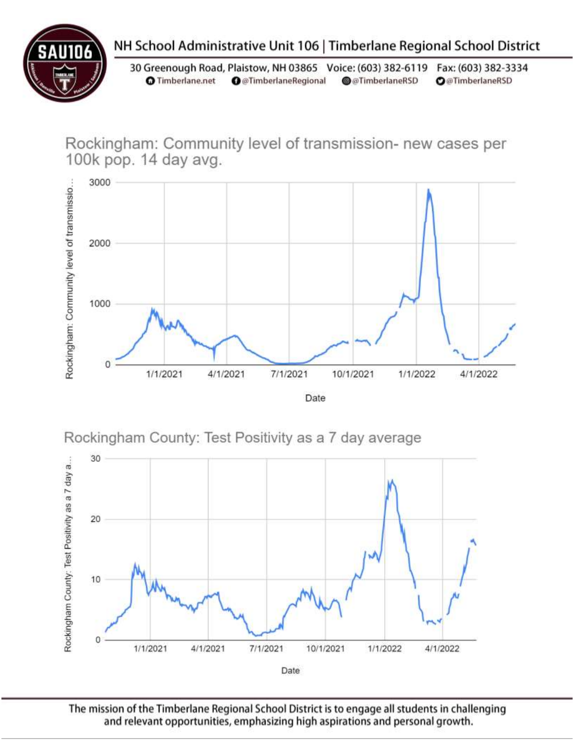

# NH School Administrative Unit 106 | Timberlane Regional School District

30 Greenough Road, Plaistow, NH 03865 Voice: (603) 382-6119 Fax: (603) 382-3334 **O** Timberlane.net **O** @TimberlaneRegional @@TimberlaneRSD **O**@TimberlaneRSD

Rockingham: Community level of transmission- new cases per 100k pop. 14 day avg.



Rockingham County: Test Positivity as a 7 day average



The mission of the Timberlane Regional School District is to engage all students in challenging and relevant opportunities, emphasizing high aspirations and personal growth.